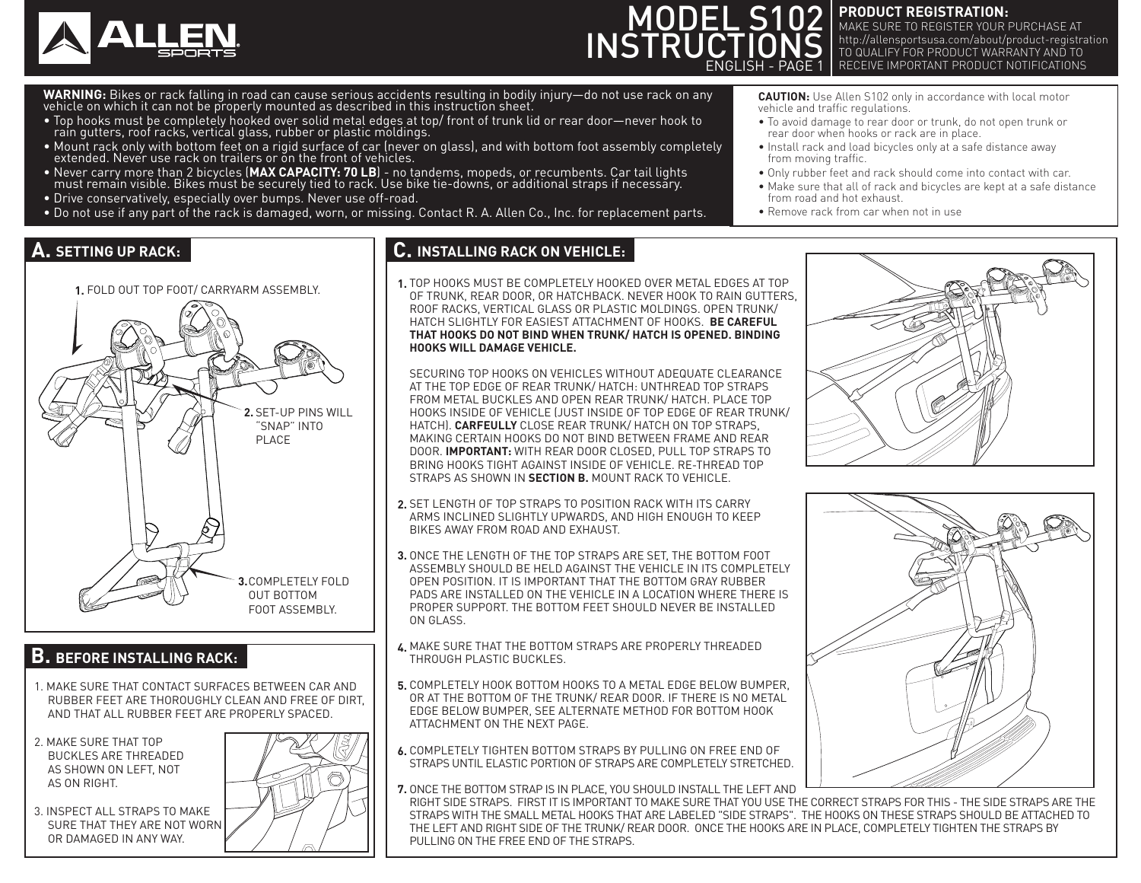

# MODEL S102 **INSTRUCTIONS** ENGLISH - PAGE 1

**PRODUCT REGISTRATION:** MAKE SURE TO REGISTER YOUR PURCHASE AT http://allensportsusa.com/about/product-registration TO QUALIFY FOR PRODUCT WARRANTY AND TO RECEIVE IMPORTANT PRODUCT NOTIFICATIONS

WARNING: Bikes or rack falling in road can cause serious accidents resulting in bodily injury—do not use rack on any vehicle on which it can not be properly mounted as described in this instruction sheet.

- Top hooks must be completely hooked over solid metal edges at top/ front of trunk lid or rear door—never hook to rain gutters, roof racks, vertical glass, rubber or plastic moldings.
- Mount rack only with bottom feet on a rigid surface of car (never on glass), and with bottom foot assembly completely extended. Never use rack on trailers or on the front of vehicles.
- Never carry more than 2 bicycles (MAX CAPACITY: 70 LB) no tandems, mopeds, or recumbents. Car tail lights<br>must remain visible. Bikes must be securely tied to rack. Use bike tie-downs, or additional straps if necessary.
- Drive conservatively, especially over bumps. Never use off-road.
- Do not use if any part of the rack is damaged, worn, or missing. Contact R. A. Allen Co., Inc. for replacement parts.

**CAUTION:** Use Allen S102 only in accordance with local motor vehicle and traffic regulations.

- To avoid damage to rear door or trunk, do not open trunk or rear door when hooks or rack are in place.
- Install rack and load bicycles only at a safe distance away from moving traffic.
- Only rubber feet and rack should come into contact with car.
- Make sure that all of rack and bicycles are kept at a safe distance from road and hot exhaust.
- Remove rack from car when not in use

# **A.** SETTING UP RACK:



### **B. BEFORE INSTALLING RACK:**

- 1. MAKE SURE THAT CONTACT SURFACES BETWEEN CAR AND RUBBER FEET ARE THOROUGHLY CLEAN AND FREE OF DIRT, AND THAT ALL RUBBER FEET ARE PROPERLY SPACED.
- 2. MAKE SURE THAT TOP BUCKLES ARE THREADED AS SHOWN ON LEFT, NOT AS ON RIGHT.
- 3. INSPECT ALL STRAPS TO MAKE SURE THAT THEY ARE NOT WORN OR DAMAGED IN ANY WAY.



## **C. INSTALLING RACK ON VEHICLE:**

TOP HOOKS MUST BE COMPLETELY HOOKED OVER METAL EDGES AT TOP OF TRUNK, REAR DOOR, OR HATCHBACK. NEVER HOOK TO RAIN GUTTERS, ROOF RACKS, VERTICAL GLASS OR PLASTIC MOLDINGS. OPEN TRUNK/ HATCH SLIGHTLY FOR EASIEST ATTACHMENT OF HOOKS. **BE CAREFUL THAT HOOKS DO NOT BIND WHEN TRUNK/ HATCH IS OPENED. BINDING HOOKS WILL DAMAGE VEHICLE.**

SECURING TOP HOOKS ON VEHICLES WITHOUT ADEQUATE CLEARANCE AT THE TOP EDGE OF REAR TRUNK/ HATCH: UNTHREAD TOP STRAPS FROM METAL BUCKLES AND OPEN REAR TRUNK/ HATCH. PLACE TOP HOOKS INSIDE OF VEHICLE (JUST INSIDE OF TOP EDGE OF REAR TRUNK/ HATCH). **CARFEULLY** CLOSE REAR TRUNK/ HATCH ON TOP STRAPS, MAKING CERTAIN HOOKS DO NOT BIND BETWEEN FRAME AND REAR DOOR. **IMPORTANT:** WITH REAR DOOR CLOSED, PULL TOP STRAPS TO BRING HOOKS TIGHT AGAINST INSIDE OF VEHICLE. RE-THREAD TOP STRAPS AS SHOWN IN **SECTION B.** MOUNT RACK TO VEHICLE.

- **2.** SET LENGTH OF TOP STRAPS TO POSITION RACK WITH ITS CARRY ARMS INCLINED SLIGHTLY UPWARDS, AND HIGH ENOUGH TO KEEP BIKES AWAY FROM ROAD AND EXHAUST.
- **3.** ONCE THE LENGTH OF THE TOP STRAPS ARE SET, THE BOTTOM FOOT ASSEMBLY SHOULD BE HELD AGAINST THE VEHICLE IN ITS COMPLETELY OPEN POSITION. IT IS IMPORTANT THAT THE BOTTOM GRAY RUBBER PADS ARE INSTALLED ON THE VEHICLE IN A LOCATION WHERE THERE IS PROPER SUPPORT. THE BOTTOM FEET SHOULD NEVER BE INSTALLED ON GLASS.
- MAKE SURE THAT THE BOTTOM STRAPS ARE PROPERLY THREADED **4.** THROUGH PLASTIC BUCKLES.
- COMPLETELY HOOK BOTTOM HOOKS TO A METAL EDGE BELOW BUMPER, **5.** OR AT THE BOTTOM OF THE TRUNK/ REAR DOOR. IF THERE IS NO METAL EDGE BELOW BUMPER, SEE ALTERNATE METHOD FOR BOTTOM HOOK ATTACHMENT ON THE NEXT PAGE.
- COMPLETELY TIGHTEN BOTTOM STRAPS BY PULLING ON FREE END OF **6.** STRAPS UNTIL ELASTIC PORTION OF STRAPS ARE COMPLETELY STRETCHED.
- **7.** ONCE THE BOTTOM STRAP IS IN PLACE, YOU SHOULD INSTALL THE LEFT AND RIGHT SIDE STRAPS. FIRST IT IS IMPORTANT TO MAKE SURE THAT YOU USE THE CORRECT STRAPS FOR THIS - THE SIDE STRAPS ARE THE STRAPS WITH THE SMALL METAL HOOKS THAT ARE LABELED "SIDE STRAPS". THE HOOKS ON THESE STRAPS SHOULD BE ATTACHED TO THE LEFT AND RIGHT SIDE OF THE TRUNK/ REAR DOOR. ONCE THE HOOKS ARE IN PLACE, COMPLETELY TIGHTEN THE STRAPS BY PULLING ON THE FREE END OF THE STRAPS.